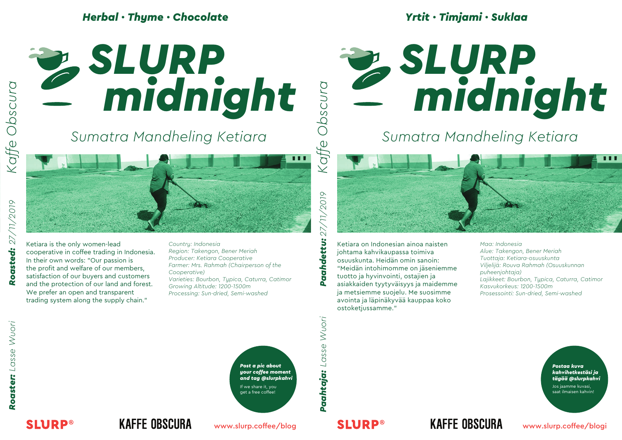### *Herbal · Thyme · Chocolate*



# *midnight SLURP*

*Yrtit · Timjami · Suklaa*

## *Sumatra Mandheling Ketiara*

Ketiara is the only women-lead

cooperative in coffee trading in Indonesia. In their own words: "Our passion is the profit and welfare of our members, satisfaction of our buyers and customers and the protection of our land and forest. We prefer an open and transparent trading system along the supply chain."

*Country: Indonesia Region: Takengon, Bener Meriah Producer: Ketiara Cooperative Farmer: Mrs. Rahmah (Chairperson of the Cooperative) Varieties: Bourbon, Typica, Caturra, Catimor Growing Altitude: 1200-1500m Processing: Sun-dried, Semi-washed*

 $6107$ *Paahtaja: Lasse Wuori Paahdettu: 27/11/2019*  $\sqrt{1}$  $\sum$ Paahdettu:

*Kaffe Obscura*

Kaffe

 $\blacksquare$ 

opscnta

Ketiara on Indonesian ainoa naisten johtama kahvikaupassa toimiva osuuskunta. Heidän omin sanoin: "Meidän intohimomme on jäseniemme tuotto ja hyvinvointi, ostajien ja asiakkaiden tyytyväisyys ja maidemme ja metsiemme suojelu. Me suosimme avointa ja läpinäkyvää kauppaa koko ostoketjussamme."

*Maa: Indonesia Alue: Takengon, Bener Meriah Tuottaja: Ketiara-osuuskunta Viljelijä: Rouva Rahmah (Osuuskunnan puheenjohtaja) Lajikkeet: Bourbon, Typica, Caturra, Catimor Kasvukorkeus: 1200-1500m Prosessointi: Sun-dried, Semi-washed*

**SLURP®** 

27/11/2019

Roasted:



Paahtaja: Lasse Wuori

*Postaa kuva kahvihetkestäsi ja tägää @slurpkahvi*

Jos jaamme kuvasi, saat ilmaisen kahvin!

## **KAFFE OBSCURA**

www.slurp.coffee/blog

## **SLURP®**

## **KAFFE OBSCURA**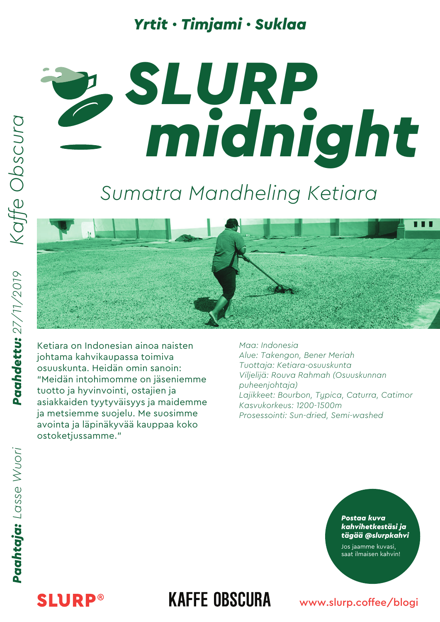## *Yrtit · Timjami · Suklaa*

# *midnight midnight SLURP*

## *Sumatra Mandheling Ketiara*



Ketiara on Indonesian ainoa naisten johtama kahvikaupassa toimiva osuuskunta. Heidän omin sanoin: "Meidän intohimomme on jäseniemme tuotto ja hyvinvointi, ostajien ja asiakkaiden tyytyväisyys ja maidemme ja metsiemme suojelu. Me suosimme avointa ja läpinäkyvää kauppaa koko ostoketjussamme."

*Maa: Indonesia Alue: Takengon, Bener Meriah Tuottaja: Ketiara-osuuskunta Viljelijä: Rouva Rahmah (Osuuskunnan puheenjohtaja) Lajikkeet: Bourbon, Typica, Caturra, Catimor Kasvukorkeus: 1200-1500m Prosessointi: Sun-dried, Semi-washed*

#### *Postaa kuva kahvihetkestäsi ja tägää @slurpkahvi*

Jos jaamme kuvasi, saat ilmaisen kahvin!

## **SLURP®**

## **KAFFE OBSCURA**

#### www.slurp.coffee/blogi